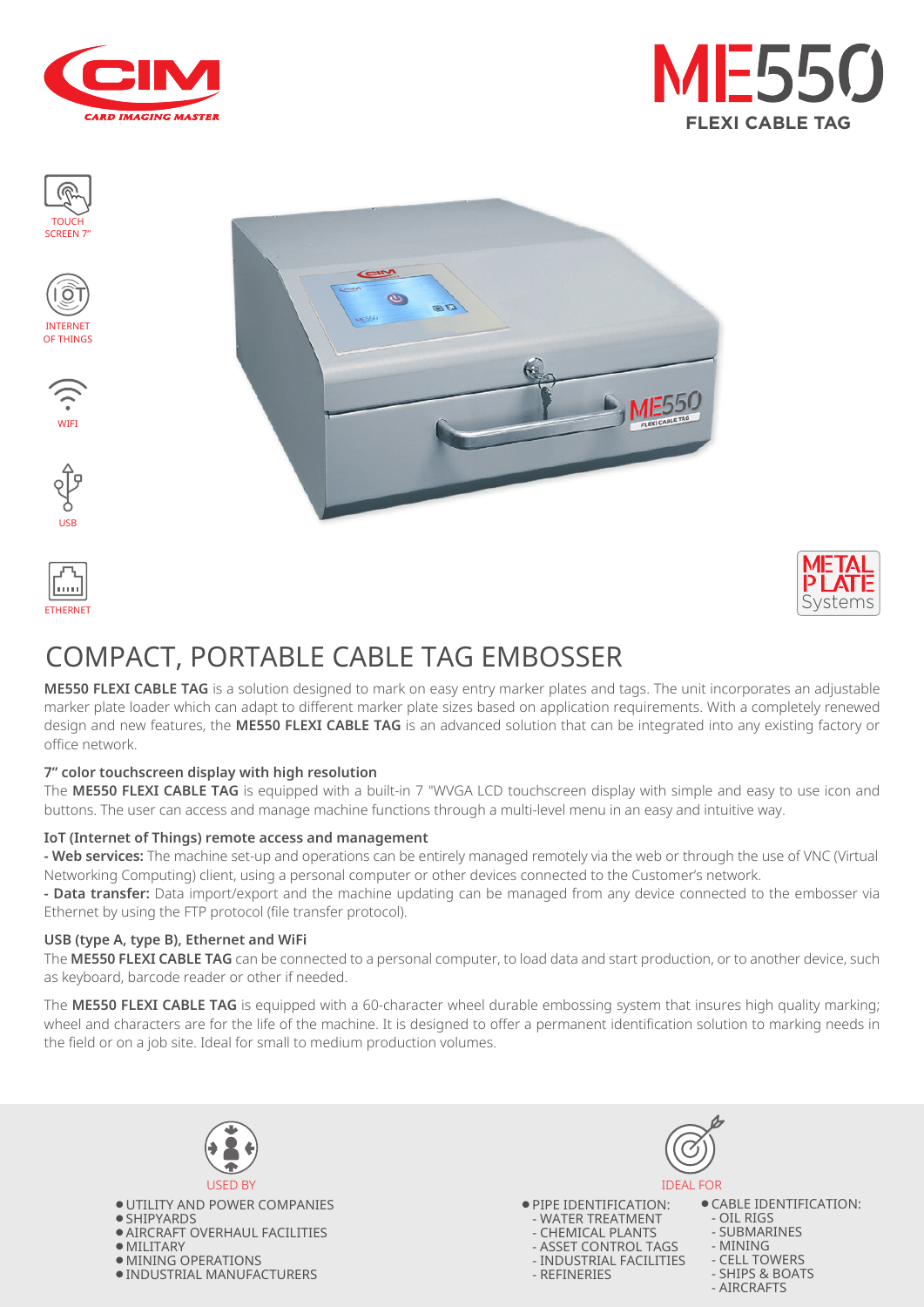



TOUCH SCREEN 7"











# COMPACT, PORTABLE CABLE TAG EMBOSSER

Ø

 $\mathcal{L}$ 

**ME550 FLEXI CABLE TAG** is a solution designed to mark on easy entry marker plates and tags. The unit incorporates an adjustable marker plate loader which can adapt to different marker plate sizes based on application requirements. With a completely renewed design and new features, the **ME550 FLEXI CABLE TAG** is an advanced solution that can be integrated into any existing factory or office network.

#### **7" color touchscreen display with high resolution**

The **ME550 FLEXI CABLE TAG** is equipped with a built-in 7 "WVGA LCD touchscreen display with simple and easy to use icon and buttons. The user can access and manage machine functions through a multi-level menu in an easy and intuitive way.

#### **IoT (Internet of Things) remote access and management**

**- Web services:** The machine set-up and operations can be entirely managed remotely via the web or through the use of VNC (Virtual Networking Computing) client, using a personal computer or other devices connected to the Customer's network.

**- Data transfer:** Data import/export and the machine updating can be managed from any device connected to the embosser via Ethernet by using the FTP protocol (file transfer protocol).

#### **USB (type A, type B), Ethernet and WiFi**

The **ME550 FLEXI CABLE TAG** can be connected to a personal computer, to load data and start production, or to another device, such as keyboard, barcode reader or other if needed.

The **ME550 FLEXI CABLE TAG** is equipped with a 60-character wheel durable embossing system that insures high quality marking; wheel and characters are for the life of the machine. It is designed to offer a permanent identification solution to marking needs in the field or on a job site. Ideal for small to medium production volumes.



● UTILITY AND POWER COMPANIES ● SHIPYARDS ● AIRCRAFT OVERHAUL FACILITIES ● MILITARY ● MINING OPERATIONS ● INDUSTRIAL MANUFACTURERS





● CABLE IDENTIFICATION:

- OIL RIGS
- SUBMARINES

- MINING

- CELL TOWERS
- SHIPS & BOATS
- AIRCRAFTS